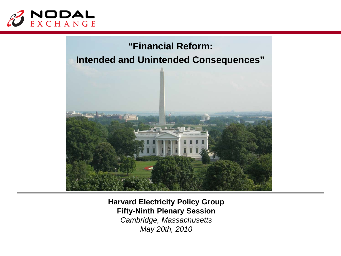



**Harvard Electricity Policy Group Fifty-Ninth Plenary Session** *Cambridge, Massachusetts May 20th, 2010*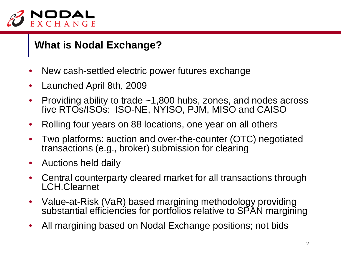

## **What is Nodal Exchange?**

- New cash-settled electric power futures exchange
- Launched April 8th, 2009
- Providing ability to trade  $\sim$ 1,800 hubs, zones, and nodes across five RTOs/ISOs: ISO-NE, NYISO, PJM, MISO and CAISO
- Rolling four years on 88 locations, one year on all others
- Two platforms: auction and over-the-counter (OTC) negotiated transactions (e.g., broker) submission for clearing
- Auctions held daily
- Central counterparty cleared market for all transactions through LCH.Clearnet
- Value-at-Risk (VaR) based margining methodology providing substantial efficiencies for portfolios relative to SPAN margining
- All margining based on Nodal Exchange positions; not bids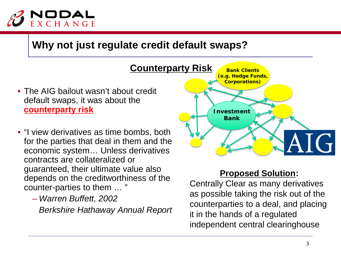

## **Why not just regulate credit default swaps?**

- The AIG bailout wasn't about credit default swaps, it was about the **counterparty risk Counterparty Risk Bank**
- "I view derivatives as time bombs, both for the parties that deal in them and the economic system… Unless derivatives contracts are collateralized or guaranteed, their ultimate value also depends on the creditworthiness of the counter-parties to them … "
	- *Warren Buffett, 2002 Berkshire Hathaway Annual Report*



#### **Proposed Solution:**

Centrally Clear as many derivatives as possible taking the risk out of the counterparties to a deal, and placing it in the hands of a regulated independent central clearinghouse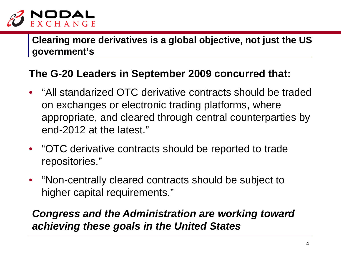

**Clearing more derivatives is a global objective, not just the US government's**

## **The G-20 Leaders in September 2009 concurred that:**

- "All standarized OTC derivative contracts should be traded on exchanges or electronic trading platforms, where appropriate, and cleared through central counterparties by end-2012 at the latest."
- "OTC derivative contracts should be reported to trade repositories."
- "Non-centrally cleared contracts should be subject to higher capital requirements."

# *Congress and the Administration are working toward achieving these goals in the United States*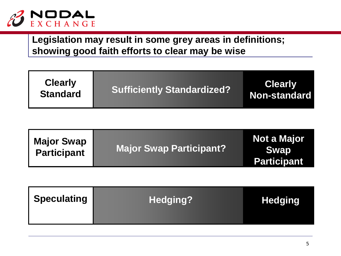

**Legislation may result in some grey areas in definitions; showing good faith efforts to clear may be wise**

| <b>Clearly</b><br><b>Standard</b> | <b>Sufficiently Standardized?</b> | <b>Clearly</b><br><b>Non-standard</b> |
|-----------------------------------|-----------------------------------|---------------------------------------|
|                                   |                                   |                                       |

| <b>Major Swap</b>              | <b>Not a Major</b> |
|--------------------------------|--------------------|
| <b>Major Swap Participant?</b> | <b>Swap</b>        |
| <b>Participant</b>             | <b>Participant</b> |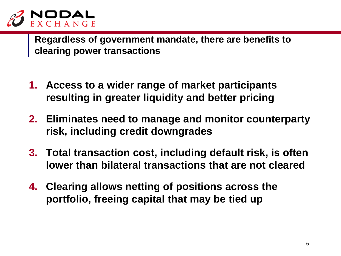

**Regardless of government mandate, there are benefits to clearing power transactions**

- **1. Access to a wider range of market participants resulting in greater liquidity and better pricing**
- **2. Eliminates need to manage and monitor counterparty risk, including credit downgrades**
- **3. Total transaction cost, including default risk, is often lower than bilateral transactions that are not cleared**
- **4. Clearing allows netting of positions across the portfolio, freeing capital that may be tied up**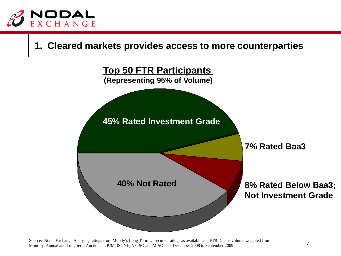

#### **1. Cleared markets provides access to more counterparties**



Source: Nodal Exchange Analysis, ratings from Moody's Long Term Unsecured ratings as available and FTR Data is volume weighted from<br>Monthly Annual and Long term Austings in RIM ISONE NVISO and MISO hald Desember 2008 to Se Monthly, Annual and Long-term Auctions in PJM, ISONE, NYISO and MISO held December 2008 to September 2009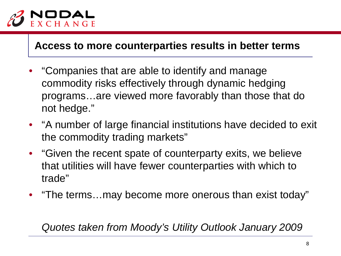

### **Access to more counterparties results in better terms**

- "Companies that are able to identify and manage commodity risks effectively through dynamic hedging programs…are viewed more favorably than those that do not hedge."
- "A number of large financial institutions have decided to exit the commodity trading markets"
- "Given the recent spate of counterparty exits, we believe that utilities will have fewer counterparties with which to trade"
- "The terms…may become more onerous than exist today"

*Quotes taken from Moody's Utility Outlook January 2009*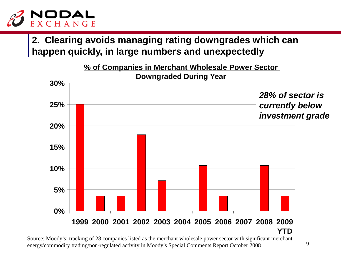

## **2. Clearing avoids managing rating downgrades which can happen quickly, in large numbers and unexpectedly**



Source: Moody's; tracking of 28 companies listed as the merchant wholesale power sector with significant merchant energy/commodity trading/non-regulated activity in Moody's Special Comments Report October 2008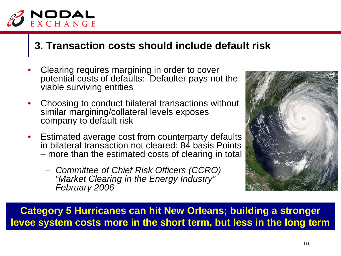

## **3. Transaction costs should include default risk**

- Clearing requires margining in order to cover potential costs of defaults: Defaulter pays not the viable surviving entities
- Choosing to conduct bilateral transactions without similar margining/collateral levels exposes company to default risk
- Estimated average cost from counterparty defaults in bilateral transaction not cleared: 84 basis Points – more than the estimated costs of clearing in total
	- *Committee of Chief Risk Officers (CCRO) "Market Clearing in the Energy Industry" February 2006*



**Category 5 Hurricanes can hit New Orleans; building a stronger levee system costs more in the short term, but less in the long term**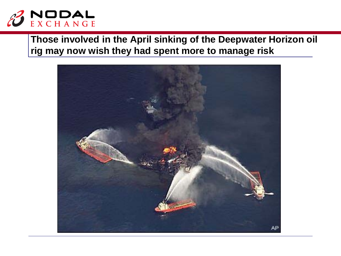

## **Those involved in the April sinking of the Deepwater Horizon oil rig may now wish they had spent more to manage risk**

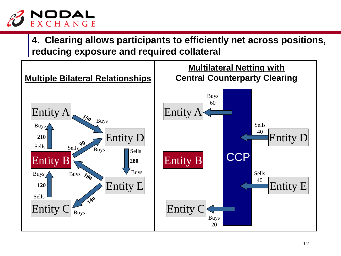

**4. Clearing allows participants to efficiently net across positions, reducing exposure and required collateral**

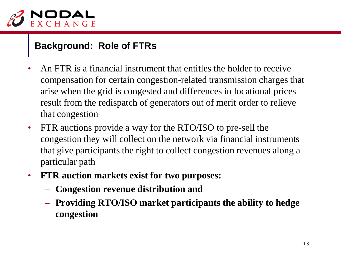

#### **Background: Role of FTRs**

- An FTR is a financial instrument that entitles the holder to receive compensation for certain congestion-related transmission charges that arise when the grid is congested and differences in locational prices result from the redispatch of generators out of merit order to relieve that congestion
- FTR auctions provide a way for the RTO/ISO to pre-sell the congestion they will collect on the network via financial instruments that give participants the right to collect congestion revenues along a particular path
- **FTR auction markets exist for two purposes:**
	- **Congestion revenue distribution and**
	- **Providing RTO/ISO market participants the ability to hedge congestion**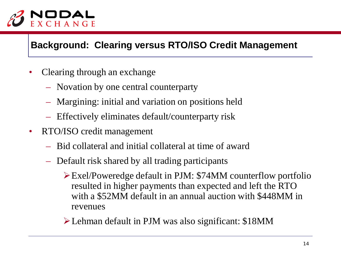

#### **Background: Clearing versus RTO/ISO Credit Management**

- Clearing through an exchange
	- Novation by one central counterparty
	- Margining: initial and variation on positions held
	- Effectively eliminates default/counterparty risk
- RTO/ISO credit management
	- Bid collateral and initial collateral at time of award
	- Default risk shared by all trading participants
		- Exel/Poweredge default in PJM: \$74MM counterflow portfolio resulted in higher payments than expected and left the RTO with a \$52MM default in an annual auction with \$448MM in revenues
		- Lehman default in PJM was also significant: \$18MM